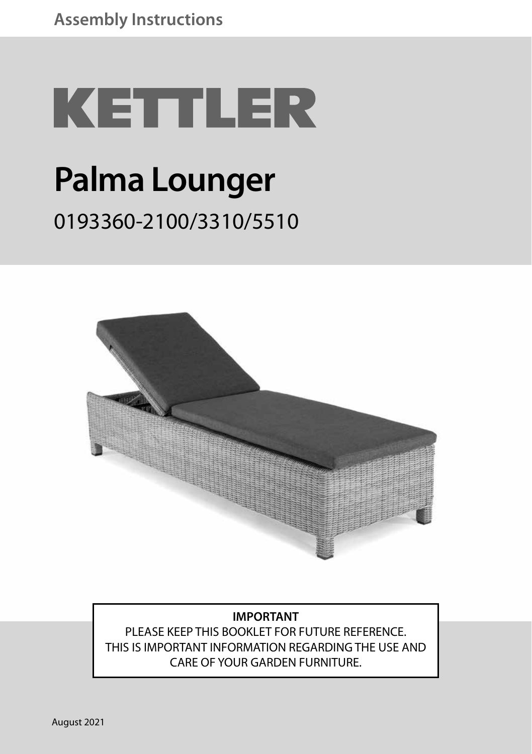# **KETTLER Palma Lounger** 0193360-2100/3310/5510



#### **IMPORTANT**

PLEASE KEEP THIS BOOKLET FOR FUTURE REFERENCE. THIS IS IMPORTANT INFORMATION REGARDING THE USE AND CARE OF YOUR GARDEN FURNITURE.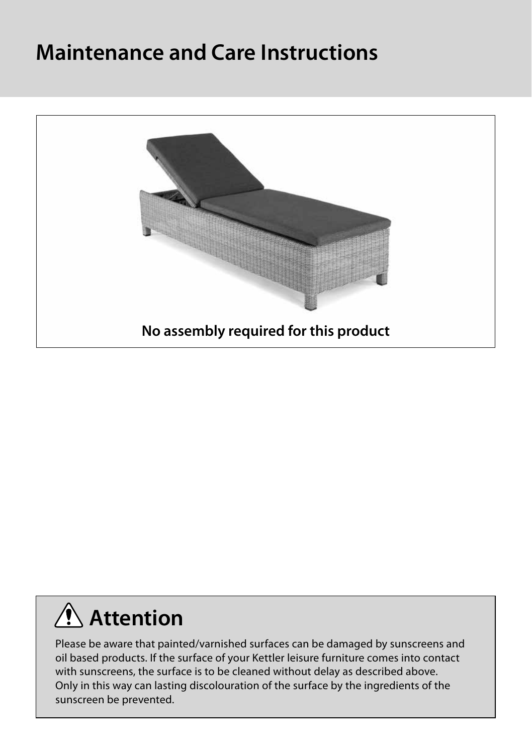#### **Maintenance and Care Instructions**



### **Attention**

Please be aware that painted/varnished surfaces can be damaged by sunscreens and oil based products. If the surface of your Kettler leisure furniture comes into contact with sunscreens, the surface is to be cleaned without delay as described above. Only in this way can lasting discolouration of the surface by the ingredients of the sunscreen be prevented.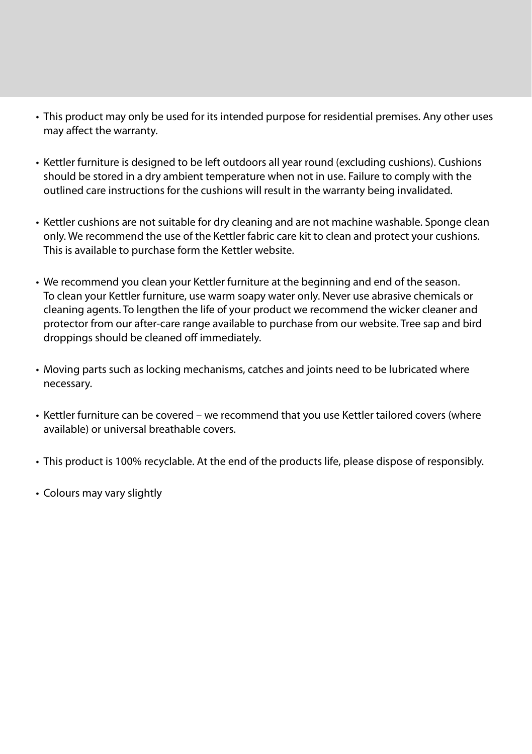- This product may only be used for its intended purpose for residential premises. Any other uses may affect the warranty.
- Kettler furniture is designed to be left outdoors all year round (excluding cushions). Cushions should be stored in a dry ambient temperature when not in use. Failure to comply with the outlined care instructions for the cushions will result in the warranty being invalidated.
- Kettler cushions are not suitable for dry cleaning and are not machine washable. Sponge clean only. We recommend the use of the Kettler fabric care kit to clean and protect your cushions. This is available to purchase form the Kettler website.
- We recommend you clean your Kettler furniture at the beginning and end of the season. To clean your Kettler furniture, use warm soapy water only. Never use abrasive chemicals or cleaning agents. To lengthen the life of your product we recommend the wicker cleaner and protector from our after-care range available to purchase from our website. Tree sap and bird droppings should be cleaned off immediately.
- Moving parts such as locking mechanisms, catches and joints need to be lubricated where necessary.
- Kettler furniture can be covered we recommend that you use Kettler tailored covers (where available) or universal breathable covers.
- This product is 100% recyclable. At the end of the products life, please dispose of responsibly.
- Colours may vary slightly